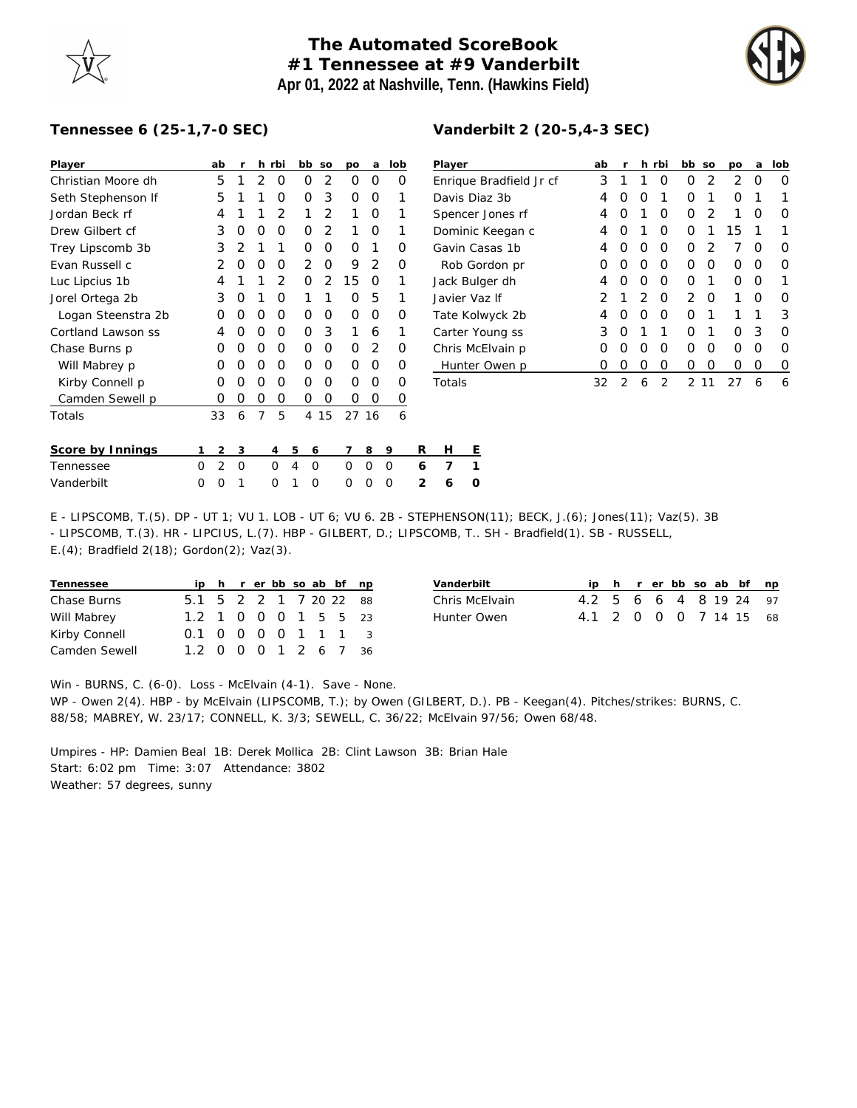## **The Automated ScoreBook #1 Tennessee at #9 Vanderbilt Apr 01, 2022 at Nashville, Tenn. (Hawkins Field)**



## **Tennessee 6 (25-1,7-0 SEC)**

| Player             |   | ab             | r | h              | rbi            |   | bb       | SO             | рo | a     | lob |                | Player    |   |  |
|--------------------|---|----------------|---|----------------|----------------|---|----------|----------------|----|-------|-----|----------------|-----------|---|--|
| Christian Moore dh |   | 5              | 1 | $\overline{2}$ | O              |   | Ο        | $\overline{2}$ | O  | Ο     | O   |                | Enrique   |   |  |
| Seth Stephenson If |   | 5              | 1 | 1              | 0              |   | Ο        | 3              | Ο  | Ο     | 1   |                | Davis Di  |   |  |
| Jordan Beck rf     |   | 4              | 1 | 1              | $\overline{2}$ |   | 1        | 2              | 1  | Ο     | 1   |                | Spencer   |   |  |
| Drew Gilbert cf    |   | 3              | O | O              | O              |   | Ω        | 2              | 1  | Ο     | 1   |                | Dominic   |   |  |
| Trey Lipscomb 3b   |   | 3              | 2 | 1              | 1              |   | Ο        | O              | 0  | 1     | Ω   |                | Gavin Ca  |   |  |
| Evan Russell c     |   | 2              | Ο | O              | O              |   | 2        | O              | 9  | 2     | Ο   |                | Rob Go    |   |  |
| Luc Lipcius 1b     |   | 4              | 1 | 1              | $\overline{2}$ |   | Ο        | $\mathcal{P}$  | 15 | Ω     | 1   |                | Jack Bul  |   |  |
| Jorel Ortega 2b    |   | 3              | O | 1              | O              |   | 1        | 1              | O  | 5     | 1   |                | Javier Va |   |  |
| Logan Steenstra 2b |   | Ο              | Ο | O              | O              |   | Ο        | O              | O  | Ο     | O   |                | Tate Kol  |   |  |
| Cortland Lawson ss |   | 4              | Ω | O              | O              |   | Ω        | 3              | 1  | 6     | 1   |                | Carter Y  |   |  |
| Chase Burns p      |   | O              | Ω | O              | O              |   | Ω        | O              | 0  | 2     | O   |                | Chris Mo  |   |  |
| Will Mabrey p      |   | O              | Ω | O              | O              |   | Ω        | O              | O  | Ω     | O   |                | Hunter    |   |  |
| Kirby Connell p    |   | Ο              | Ω | O              | O              |   | Ω        | O              | O  | Ω     | O   |                | Totals    |   |  |
| Camden Sewell p    |   | Ο              | Ο | Ο              | Ο              |   | Ο        | Ο              | Ω  | Ο     | O   |                |           |   |  |
| Totals             |   | 33             | 6 | 7              | 5              |   | 4        | 15             |    | 27 16 | 6   |                |           |   |  |
|                    |   |                |   |                |                |   |          |                |    |       |     | R              | н         |   |  |
| Score by Innings   | 1 | 2              | 3 |                | 4              | 5 | 6        |                | 7  | 8     | 9   |                |           | Ε |  |
| Tennessee          | O | $\overline{2}$ | O |                | 0              | 4 | $\Omega$ |                | O  | Ω     | O   | 6              | 7         | 1 |  |
| Vanderbilt         | O | O              | 1 |                | O              | 1 | O        |                | Ω  | O     | O   | $\overline{2}$ | 6         | 0 |  |

| Vanderbilt 2 (20-5,4-3 SEC) |
|-----------------------------|
|                             |

| ab            | r             |               |                | bb            | SO | po   | a | lob |
|---------------|---------------|---------------|----------------|---------------|----|------|---|-----|
| 3             | 1             | 1             | Ω              | Ω             | 2  | 2    | O | Ω   |
| 4             | O             | O             | 1              | Ω             | 1  | Ω    | 1 |     |
| 4             | O             | 1             | O              | Ω             | 2  | 1    | Ω | O   |
| 4             | Ω             | 1             | Ω              | Ω             | 1  | 15   | 1 | 1   |
| 4             | O             | O             | O              | Ω             | 2  | 7    | O | O   |
| 0             | Ω             | O             | O              | Ω             | ∩  | Ω    | Ω | Ω   |
| 4             | Ω             | O             | O              | Ω             | 1  | Ω    | O | 1   |
| $\mathcal{P}$ | 1             | $\mathcal{P}$ | O              | $\mathcal{P}$ | O  | 1    | Ω | Ω   |
| 4             | O             | O             | O              | ∩             | 1  | 1    | 1 | 3   |
| 3             | O             | 1             | 1              | Ω             | 1  | Ω    | 3 | O   |
| 0             | Ω             | O             | O              | Ω             | O  | Ω    | Ω | Ω   |
| Ω             | Ω             | Ο             | Ω              | Ω             | Ω  | Ω    | Ω | Ο   |
| 32            | $\mathcal{P}$ | 6             | $\mathfrak{D}$ |               |    | 27   | 6 | 6   |
|               |               |               |                | h rbi         |    | 2 11 |   |     |

E - LIPSCOMB, T.(5). DP - UT 1; VU 1. LOB - UT 6; VU 6. 2B - STEPHENSON(11); BECK, J.(6); Jones(11); Vaz(5). 3B - LIPSCOMB, T.(3). HR - LIPCIUS, L.(7). HBP - GILBERT, D.; LIPSCOMB, T.. SH - Bradfield(1). SB - RUSSELL, E.(4); Bradfield 2(18); Gordon(2); Vaz(3).

| Tennessee     |                        |  |  |  | ip h r er bb so ab bf np |  |
|---------------|------------------------|--|--|--|--------------------------|--|
| Chase Burns   | 5.1 5 2 2 1 7 20 22 88 |  |  |  |                          |  |
| Will Mabrey   | 1.2 1 0 0 0 1 5 5 23   |  |  |  |                          |  |
| Kirby Connell | 0.1 0 0 0 0 1 1 1 3    |  |  |  |                          |  |
| Camden Sewell | 1.2 0 0 0 1 2 6 7 36   |  |  |  |                          |  |

| Vanderbilt     |                        |  |  |  | ip h r er bb so ab bf np |
|----------------|------------------------|--|--|--|--------------------------|
| Chris McElvain | 4.2 5 6 6 4 8 19 24 97 |  |  |  |                          |
| Hunter Owen    | 4.1 2 0 0 0 7 14 15 68 |  |  |  |                          |

Win - BURNS, C. (6-0). Loss - McElvain (4-1). Save - None.

WP - Owen 2(4). HBP - by McElvain (LIPSCOMB, T.); by Owen (GILBERT, D.). PB - Keegan(4). Pitches/strikes: BURNS, C. 88/58; MABREY, W. 23/17; CONNELL, K. 3/3; SEWELL, C. 36/22; McElvain 97/56; Owen 68/48.

Umpires - HP: Damien Beal 1B: Derek Mollica 2B: Clint Lawson 3B: Brian Hale Start: 6:02 pm Time: 3:07 Attendance: 3802 Weather: 57 degrees, sunny